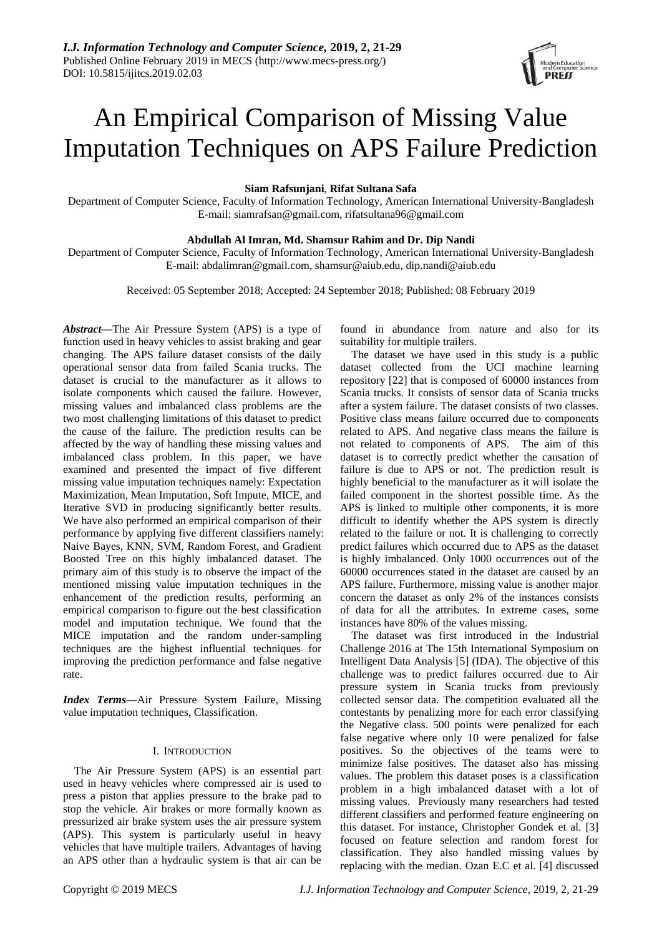

# An Empirical Comparison of Missing Value Imputation Techniques on APS Failure Prediction

**Siam Rafsunjani**, **Rifat Sultana Safa**

Department of Computer Science, Faculty of Information Technology, American International University-Bangladesh E-mail: [siamrafsan@gmail.com,](mailto:siamrafsan@gmail.com) [rifatsultana96@gmail.com](mailto:rifatsultana96@gmail.com)

## **Abdullah Al Imran, Md. Shamsur Rahim and Dr. Dip Nandi**

Department of Computer Science, Faculty of Information Technology, American International University-Bangladesh E-mail: [abdalimran@gmail.com,](mailto:abdalimran@gmail.com) [shamsur@aiub.edu,](mailto:shamsur@aiub.edu) [dip.nandi@aiub.edu](mailto:dip.nandi@aiub.edu)

Received: 05 September 2018; Accepted: 24 September 2018; Published: 08 February 2019

*Abstract***—**The Air Pressure System (APS) is a type of function used in heavy vehicles to assist braking and gear changing. The APS failure dataset consists of the daily operational sensor data from failed Scania trucks. The dataset is crucial to the manufacturer as it allows to isolate components which caused the failure. However, missing values and imbalanced class problems are the two most challenging limitations of this dataset to predict the cause of the failure. The prediction results can be affected by the way of handling these missing values and imbalanced class problem. In this paper, we have examined and presented the impact of five different missing value imputation techniques namely: Expectation Maximization, Mean Imputation, Soft Impute, MICE, and Iterative SVD in producing significantly better results. We have also performed an empirical comparison of their performance by applying five different classifiers namely: Naive Bayes, KNN, SVM, Random Forest, and Gradient Boosted Tree on this highly imbalanced dataset. The primary aim of this study is to observe the impact of the mentioned missing value imputation techniques in the enhancement of the prediction results, performing an empirical comparison to figure out the best classification model and imputation technique. We found that the MICE imputation and the random under-sampling techniques are the highest influential techniques for improving the prediction performance and false negative rate.

*Index Terms***—**Air Pressure System Failure, Missing value imputation techniques, Classification.

## I. INTRODUCTION

The Air Pressure System (APS) is an essential part used in heavy vehicles where compressed air is used to press a piston that applies pressure to the brake pad to stop the vehicle. Air brakes or more formally known as pressurized air brake system uses the air pressure system (APS). This system is particularly useful in heavy vehicles that have multiple trailers. Advantages of having an APS other than a hydraulic system is that air can be

found in abundance from nature and also for its suitability for multiple trailers.

The dataset we have used in this study is a public dataset collected from the UCI machine learning repository [22] that is composed of 60000 instances from Scania trucks. It consists of sensor data of Scania trucks after a system failure. The dataset consists of two classes. Positive class means failure occurred due to components related to APS. And negative class means the failure is not related to components of APS. The aim of this dataset is to correctly predict whether the causation of failure is due to APS or not. The prediction result is highly beneficial to the manufacturer as it will isolate the failed component in the shortest possible time. As the APS is linked to multiple other components, it is more difficult to identify whether the APS system is directly related to the failure or not. It is challenging to correctly predict failures which occurred due to APS as the dataset is highly imbalanced. Only 1000 occurrences out of the 60000 occurrences stated in the dataset are caused by an APS failure. Furthermore, missing value is another major concern the dataset as only 2% of the instances consists of data for all the attributes. In extreme cases, some instances have 80% of the values missing.

The dataset was first introduced in the Industrial Challenge 2016 at The 15th International Symposium on Intelligent Data Analysis [5] (IDA). The objective of this challenge was to predict failures occurred due to Air pressure system in Scania trucks from previously collected sensor data. The competition evaluated all the contestants by penalizing more for each error classifying the Negative class. 500 points were penalized for each false negative where only 10 were penalized for false positives. So the objectives of the teams were to minimize false positives. The dataset also has missing values. The problem this dataset poses is a classification problem in a high imbalanced dataset with a lot of missing values. Previously many researchers had tested different classifiers and performed feature engineering on this dataset. For instance, Christopher Gondek et al. [3] focused on feature selection and random forest for classification. They also handled missing values by replacing with the median. Ozan E.C et al. [4] discussed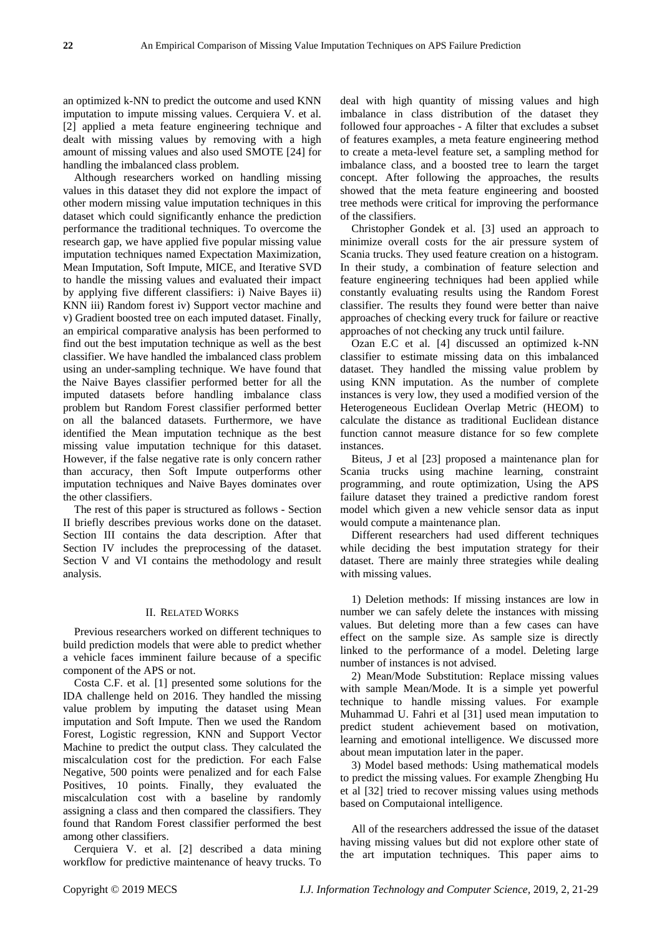an optimized k-NN to predict the outcome and used KNN imputation to impute missing values. Cerquiera V. et al. [2] applied a meta feature engineering technique and dealt with missing values by removing with a high amount of missing values and also used SMOTE [24] for handling the imbalanced class problem.

Although researchers worked on handling missing values in this dataset they did not explore the impact of other modern missing value imputation techniques in this dataset which could significantly enhance the prediction performance the traditional techniques. To overcome the research gap, we have applied five popular missing value imputation techniques named Expectation Maximization, Mean Imputation, Soft Impute, MICE, and Iterative SVD to handle the missing values and evaluated their impact by applying five different classifiers: i) Naive Bayes ii) KNN iii) Random forest iv) Support vector machine and v) Gradient boosted tree on each imputed dataset. Finally, an empirical comparative analysis has been performed to find out the best imputation technique as well as the best classifier. We have handled the imbalanced class problem using an under-sampling technique. We have found that the Naive Bayes classifier performed better for all the imputed datasets before handling imbalance class problem but Random Forest classifier performed better on all the balanced datasets. Furthermore, we have identified the Mean imputation technique as the best missing value imputation technique for this dataset. However, if the false negative rate is only concern rather than accuracy, then Soft Impute outperforms other imputation techniques and Naive Bayes dominates over the other classifiers.

The rest of this paper is structured as follows - Section II briefly describes previous works done on the dataset. Section III contains the data description. After that Section IV includes the preprocessing of the dataset. Section V and VI contains the methodology and result analysis.

#### II. RELATED WORKS

Previous researchers worked on different techniques to build prediction models that were able to predict whether a vehicle faces imminent failure because of a specific component of the APS or not.

Costa C.F. et al. [1] presented some solutions for the IDA challenge held on 2016. They handled the missing value problem by imputing the dataset using Mean imputation and Soft Impute. Then we used the Random Forest, Logistic regression, KNN and Support Vector Machine to predict the output class. They calculated the miscalculation cost for the prediction. For each False Negative, 500 points were penalized and for each False Positives, 10 points. Finally, they evaluated the miscalculation cost with a baseline by randomly assigning a class and then compared the classifiers. They found that Random Forest classifier performed the best among other classifiers.

Cerquiera V. et al. [2] described a data mining workflow for predictive maintenance of heavy trucks. To deal with high quantity of missing values and high imbalance in class distribution of the dataset they followed four approaches - A filter that excludes a subset of features examples, a meta feature engineering method to create a meta-level feature set, a sampling method for imbalance class, and a boosted tree to learn the target concept. After following the approaches, the results showed that the meta feature engineering and boosted tree methods were critical for improving the performance of the classifiers.

Christopher Gondek et al. [3] used an approach to minimize overall costs for the air pressure system of Scania trucks. They used feature creation on a histogram. In their study, a combination of feature selection and feature engineering techniques had been applied while constantly evaluating results using the Random Forest classifier. The results they found were better than naive approaches of checking every truck for failure or reactive approaches of not checking any truck until failure.

Ozan E.C et al. [4] discussed an optimized k-NN classifier to estimate missing data on this imbalanced dataset. They handled the missing value problem by using KNN imputation. As the number of complete instances is very low, they used a modified version of the Heterogeneous Euclidean Overlap Metric (HEOM) to calculate the distance as traditional Euclidean distance function cannot measure distance for so few complete instances.

Biteus, J et al [23] proposed a maintenance plan for Scania trucks using machine learning, constraint programming, and route optimization, Using the APS failure dataset they trained a predictive random forest model which given a new vehicle sensor data as input would compute a maintenance plan.

Different researchers had used different techniques while deciding the best imputation strategy for their dataset. There are mainly three strategies while dealing with missing values.

1) Deletion methods: If missing instances are low in number we can safely delete the instances with missing values. But deleting more than a few cases can have effect on the sample size. As sample size is directly linked to the performance of a model. Deleting large number of instances is not advised.

2) Mean/Mode Substitution: Replace missing values with sample Mean/Mode. It is a simple yet powerful technique to handle missing values. For example Muhammad U. Fahri et al [31] used mean imputation to predict student achievement based on motivation, learning and emotional intelligence. We discussed more about mean imputation later in the paper.

3) Model based methods: Using mathematical models to predict the missing values. For example Zhengbing Hu et al [32] tried to recover missing values using methods based on Computaional intelligence.

All of the researchers addressed the issue of the dataset having missing values but did not explore other state of the art imputation techniques. This paper aims to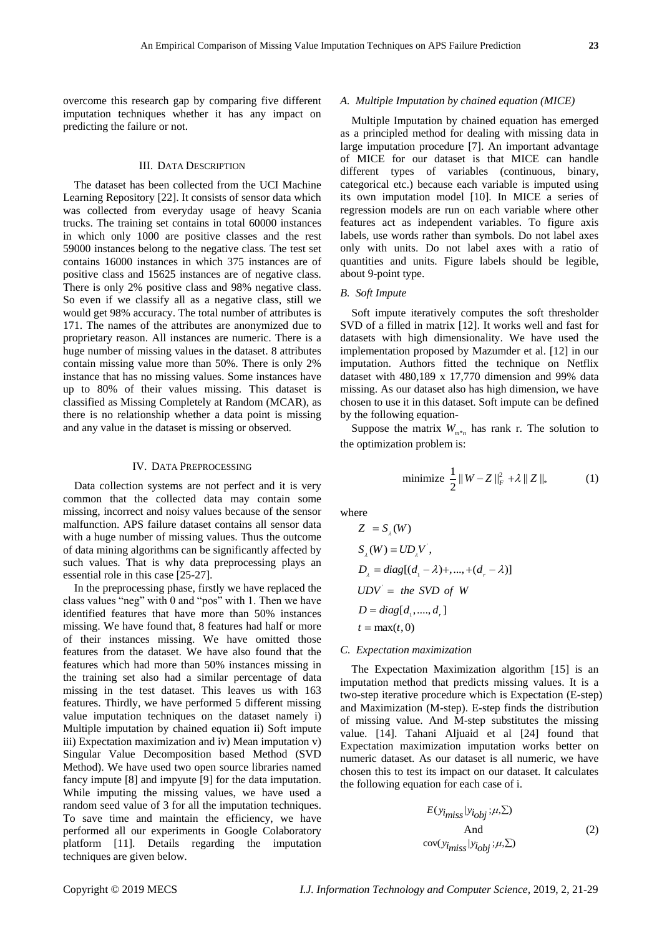overcome this research gap by comparing five different imputation techniques whether it has any impact on predicting the failure or not.

## III. DATA DESCRIPTION

The dataset has been collected from the UCI Machine Learning Repository [22]. It consists of sensor data which was collected from everyday usage of heavy Scania trucks. The training set contains in total 60000 instances in which only 1000 are positive classes and the rest 59000 instances belong to the negative class. The test set contains 16000 instances in which 375 instances are of positive class and 15625 instances are of negative class. There is only 2% positive class and 98% negative class. So even if we classify all as a negative class, still we would get 98% accuracy. The total number of attributes is 171. The names of the attributes are anonymized due to proprietary reason. All instances are numeric. There is a huge number of missing values in the dataset. 8 attributes contain missing value more than 50%. There is only 2% instance that has no missing values. Some instances have up to 80% of their values missing. This dataset is classified as Missing Completely at Random (MCAR), as there is no relationship whether a data point is missing and any value in the dataset is missing or observed.

#### IV. DATA PREPROCESSING

Data collection systems are not perfect and it is very common that the collected data may contain some missing, incorrect and noisy values because of the sensor malfunction. APS failure dataset contains all sensor data with a huge number of missing values. Thus the outcome of data mining algorithms can be significantly affected by such values. That is why data preprocessing plays an essential role in this case [25-27].

In the preprocessing phase, firstly we have replaced the class values "neg" with 0 and "pos" with 1. Then we have identified features that have more than 50% instances missing. We have found that, 8 features had half or more of their instances missing. We have omitted those features from the dataset. We have also found that the features which had more than 50% instances missing in the training set also had a similar percentage of data missing in the test dataset. This leaves us with 163 features. Thirdly, we have performed 5 different missing value imputation techniques on the dataset namely i) Multiple imputation by chained equation ii) Soft impute iii) Expectation maximization and iv) Mean imputation v) Singular Value Decomposition based Method (SVD Method). We have used two open source libraries named fancy impute [8] and impyute [9] for the data imputation. While imputing the missing values, we have used a random seed value of 3 for all the imputation techniques. To save time and maintain the efficiency, we have performed all our experiments in Google Colaboratory platform [11]. Details regarding the imputation techniques are given below.

## *A. Multiple Imputation by chained equation (MICE)*

Multiple Imputation by chained equation has emerged as a principled method for dealing with missing data in large imputation procedure [7]. An important advantage of MICE for our dataset is that MICE can handle different types of variables (continuous, binary, categorical etc.) because each variable is imputed using its own imputation model [10]. In MICE a series of regression models are run on each variable where other features act as independent variables. To figure axis labels, use words rather than symbols. Do not label axes only with units. Do not label axes with a ratio of quantities and units. Figure labels should be legible, about 9-point type.

## *B. Soft Impute*

Soft impute iteratively computes the soft thresholder SVD of a filled in matrix [12]. It works well and fast for datasets with high dimensionality. We have used the implementation proposed by Mazumder et al. [12] in our imputation. Authors fitted the technique on Netflix dataset with 480,189 x 17,770 dimension and 99% data missing. As our dataset also has high dimension, we have chosen to use it in this dataset. Soft impute can be defined by the following equation-

Suppose the matrix  $W_{m^*n}$  has rank r. The solution to the optimization problem is:

minimize 
$$
\frac{1}{2} ||W - Z||_F^2 + \lambda ||Z||_*
$$
 (1)

where

$$
Z = S_{\lambda}(W)
$$
  
\n
$$
S_{\lambda}(W) \equiv UD_{\lambda}V^{'},
$$
  
\n
$$
D_{\lambda} = diag[(d_{1} - \lambda) +, ..., + (d_{r} - \lambda)]
$$
  
\n
$$
UDV^{'} = the SVD of W
$$
  
\n
$$
D = diag[d_{1}, ..., d_{r}]
$$
  
\n
$$
t = max(t, 0)
$$

*C. Expectation maximization*

The Expectation Maximization algorithm [15] is an imputation method that predicts missing values. It is a two-step iterative procedure which is Expectation (E-step) and Maximization (M-step). E-step finds the distribution of missing value. And M-step substitutes the missing value. [14]. Tahani Aljuaid et al [24] found that Expectation maximization imputation works better on numeric dataset. As our dataset is all numeric, we have chosen this to test its impact on our dataset. It calculates the following equation for each case of i.

$$
E(y_{\text{imiss}}|y_{\text{obj}};\mu,\Sigma)
$$
  
And  
cov(y\_{\text{imiss}}|y\_{\text{obj}};\mu,\Sigma) (2)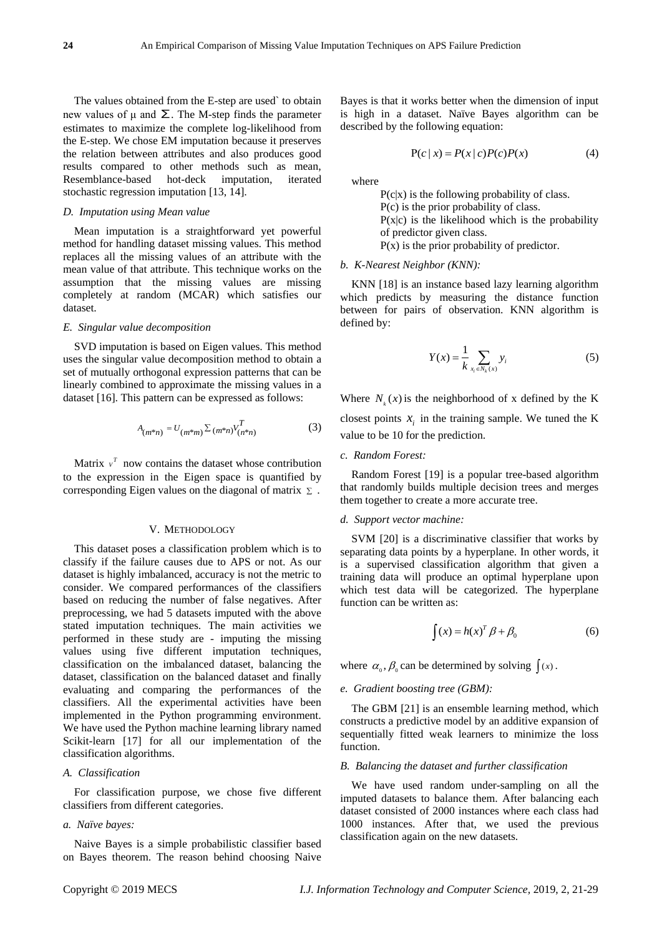The values obtained from the E-step are used` to obtain new values of μ and  $\Sigma$ . The M-step finds the parameter estimates to maximize the complete log-likelihood from the E-step. We chose EM imputation because it preserves the relation between attributes and also produces good results compared to other methods such as mean, Resemblance-based hot-deck imputation, iterated stochastic regression imputation [13, 14].

## *D. Imputation using Mean value*

Mean imputation is a straightforward yet powerful method for handling dataset missing values. This method replaces all the missing values of an attribute with the mean value of that attribute. This technique works on the assumption that the missing values are missing completely at random (MCAR) which satisfies our dataset.

## *E. Singular value decomposition*

SVD imputation is based on Eigen values. This method uses the singular value decomposition method to obtain a set of mutually orthogonal expression patterns that can be linearly combined to approximate the missing values in a dataset [16]. This pattern can be expressed as follows:

$$
A_{(m^*n)} = U_{(m^*m)} \Sigma (m^*n) V_{(n^*n)}^T
$$
 (3)

Matrix  $v^T$  now contains the dataset whose contribution to the expression in the Eigen space is quantified by corresponding Eigen values on the diagonal of matrix  $\Sigma$ .

### V. METHODOLOGY

This dataset poses a classification problem which is to classify if the failure causes due to APS or not. As our dataset is highly imbalanced, accuracy is not the metric to consider. We compared performances of the classifiers based on reducing the number of false negatives. After preprocessing, we had 5 datasets imputed with the above stated imputation techniques. The main activities we performed in these study are - imputing the missing values using five different imputation techniques, classification on the imbalanced dataset, balancing the dataset, classification on the balanced dataset and finally evaluating and comparing the performances of the classifiers. All the experimental activities have been implemented in the Python programming environment. We have used the Python machine learning library named Scikit-learn [17] for all our implementation of the classification algorithms.

#### *A. Classification*

For classification purpose, we chose five different classifiers from different categories.

#### *a. Naïve bayes:*

Naive Bayes is a simple probabilistic classifier based on Bayes theorem. The reason behind choosing Naive Bayes is that it works better when the dimension of input is high in a dataset. Na we Bayes algorithm can be described by the following equation:

$$
P(c | x) = P(x | c)P(c)P(x)
$$
 (4)

where

 $P(c|x)$  is the following probability of class. P(c) is the prior probability of class.  $P(x|c)$  is the likelihood which is the probability of predictor given class.  $P(x)$  is the prior probability of predictor.

#### *b. K-Nearest Neighbor (KNN):*

KNN [18] is an instance based lazy learning algorithm which predicts by measuring the distance function between for pairs of observation. KNN algorithm is defined by:

$$
Y(x) = \frac{1}{k} \sum_{x_i \in N_k(x)} y_i
$$
 (5)

Where  $N_k(x)$  is the neighborhood of x defined by the K closest points  $x_i$  in the training sample. We tuned the K value to be 10 for the prediction.

#### *c. Random Forest:*

Random Forest [19] is a popular tree-based algorithm that randomly builds multiple decision trees and merges them together to create a more accurate tree.

### *d. Support vector machine:*

SVM [20] is a discriminative classifier that works by separating data points by a hyperplane. In other words, it is a supervised classification algorithm that given a training data will produce an optimal hyperplane upon which test data will be categorized. The hyperplane function can be written as:

$$
\int (x) = h(x)^T \beta + \beta_0 \tag{6}
$$

where  $\alpha_0$ ,  $\beta_0$  can be determined by solving  $\int (x)$ .

#### *e. Gradient boosting tree (GBM):*

The GBM [21] is an ensemble learning method, which constructs a predictive model by an additive expansion of sequentially fitted weak learners to minimize the loss function.

## *B. Balancing the dataset and further classification*

We have used random under-sampling on all the imputed datasets to balance them. After balancing each dataset consisted of 2000 instances where each class had 1000 instances. After that, we used the previous classification again on the new datasets.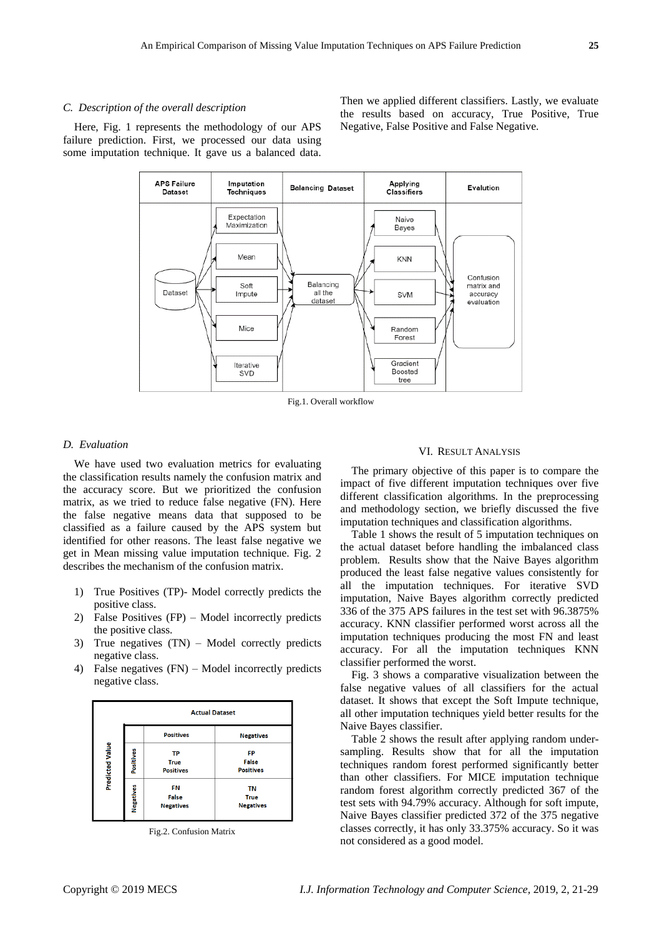#### *C. Description of the overall description*

Here, Fig. 1 represents the methodology of our APS failure prediction. First, we processed our data using some imputation technique. It gave us a balanced data.

Then we applied different classifiers. Lastly, we evaluate the results based on accuracy, True Positive, True Negative, False Positive and False Negative.



Fig.1. Overall workflow

## *D. Evaluation*

We have used two evaluation metrics for evaluating the classification results namely the confusion matrix and the accuracy score. But we prioritized the confusion matrix, as we tried to reduce false negative (FN). Here the false negative means data that supposed to be classified as a failure caused by the APS system but identified for other reasons. The least false negative we get in Mean missing value imputation technique. Fig. 2 describes the mechanism of the confusion matrix.

- 1) True Positives (TP)- Model correctly predicts the positive class.
- 2) False Positives (FP) Model incorrectly predicts the positive class.
- 3) True negatives (TN) Model correctly predicts negative class.
- 4) False negatives (FN) Model incorrectly predicts negative class.



Fig.2. Confusion Matrix

#### VI. RESULT ANALYSIS

The primary objective of this paper is to compare the impact of five different imputation techniques over five different classification algorithms. In the preprocessing and methodology section, we briefly discussed the five imputation techniques and classification algorithms.

Table 1 shows the result of 5 imputation techniques on the actual dataset before handling the imbalanced class problem. Results show that the Naive Bayes algorithm produced the least false negative values consistently for all the imputation techniques. For iterative SVD imputation, Naive Bayes algorithm correctly predicted 336 of the 375 APS failures in the test set with 96.3875% accuracy. KNN classifier performed worst across all the imputation techniques producing the most FN and least accuracy. For all the imputation techniques KNN classifier performed the worst.

Fig. 3 shows a comparative visualization between the false negative values of all classifiers for the actual dataset. It shows that except the Soft Impute technique, all other imputation techniques yield better results for the Naive Bayes classifier.

Table 2 shows the result after applying random undersampling. Results show that for all the imputation techniques random forest performed significantly better than other classifiers. For MICE imputation technique random forest algorithm correctly predicted 367 of the test sets with 94.79% accuracy. Although for soft impute, Naive Bayes classifier predicted 372 of the 375 negative classes correctly, it has only 33.375% accuracy. So it was not considered as a good model.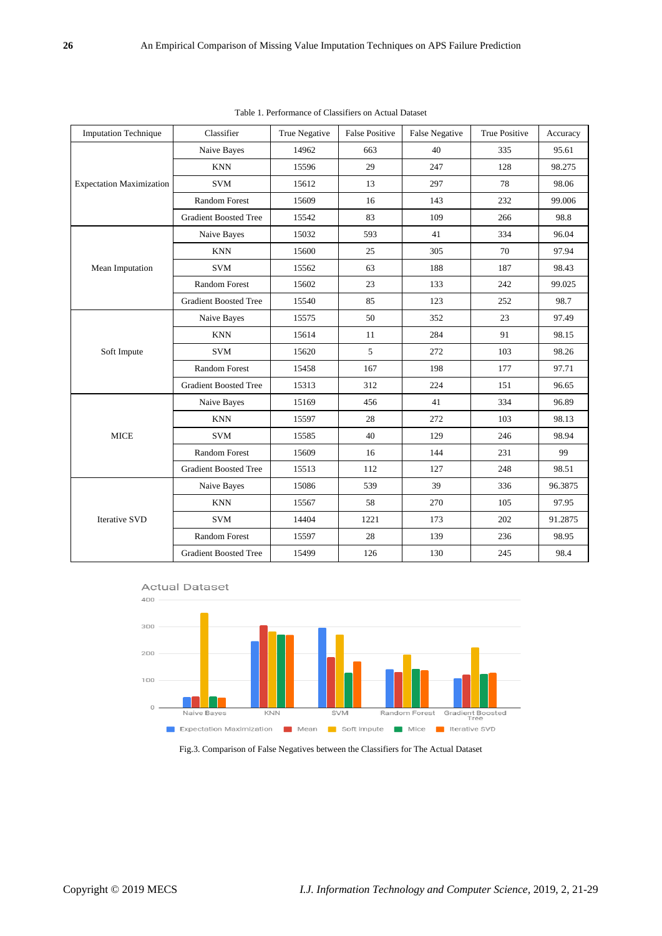| <b>Imputation Technique</b>     | Classifier                   | True Negative | <b>False Positive</b> | <b>False Negative</b> | <b>True Positive</b> | Accuracy |
|---------------------------------|------------------------------|---------------|-----------------------|-----------------------|----------------------|----------|
| <b>Expectation Maximization</b> | Naive Bayes                  | 14962         | 663                   | 40                    | 335                  | 95.61    |
|                                 | <b>KNN</b>                   | 15596         | 29                    | 247                   | 128                  | 98.275   |
|                                 | <b>SVM</b>                   | 15612         | 13                    | 297                   | 78                   | 98.06    |
|                                 | <b>Random Forest</b>         | 15609         | 16                    | 143                   | 232                  | 99.006   |
|                                 | <b>Gradient Boosted Tree</b> | 15542         | 83                    | 109                   | 266                  | 98.8     |
|                                 | Naive Bayes                  | 15032         | 593                   | 41                    | 334                  | 96.04    |
|                                 | <b>KNN</b>                   | 15600         | 25                    | 305                   | 70                   | 97.94    |
| Mean Imputation                 | <b>SVM</b>                   | 15562         | 63                    | 188                   | 187                  | 98.43    |
|                                 | <b>Random Forest</b>         | 15602         | 23                    | 133                   | 242                  | 99.025   |
|                                 | <b>Gradient Boosted Tree</b> | 15540         | 85                    | 123                   | 252                  | 98.7     |
|                                 | Naive Bayes                  | 15575         | 50                    | 352                   | 23                   | 97.49    |
| Soft Impute                     | <b>KNN</b>                   | 15614         | 11                    | 284                   | 91                   | 98.15    |
|                                 | <b>SVM</b>                   | 15620         | 5                     | 272                   | 103                  | 98.26    |
|                                 | Random Forest                | 15458         | 167                   | 198                   | 177                  | 97.71    |
|                                 | <b>Gradient Boosted Tree</b> | 15313         | 312                   | 224                   | 151                  | 96.65    |
| <b>MICE</b>                     | Naive Bayes                  | 15169         | 456                   | 41                    | 334                  | 96.89    |
|                                 | <b>KNN</b>                   | 15597         | 28                    | 272                   | 103                  | 98.13    |
|                                 | <b>SVM</b>                   | 15585         | 40                    | 129                   | 246                  | 98.94    |
|                                 | <b>Random Forest</b>         | 15609         | 16                    | 144                   | 231                  | 99       |
|                                 | <b>Gradient Boosted Tree</b> | 15513         | 112                   | 127                   | 248                  | 98.51    |
| <b>Iterative SVD</b>            | Naive Bayes                  | 15086         | 539                   | 39                    | 336                  | 96.3875  |
|                                 | <b>KNN</b>                   | 15567         | 58                    | 270                   | 105                  | 97.95    |
|                                 | <b>SVM</b>                   | 14404         | 1221                  | 173                   | 202                  | 91.2875  |
|                                 | <b>Random Forest</b>         | 15597         | 28                    | 139                   | 236                  | 98.95    |
|                                 | <b>Gradient Boosted Tree</b> | 15499         | 126                   | 130                   | 245                  | 98.4     |

Table 1. Performance of Classifiers on Actual Dataset





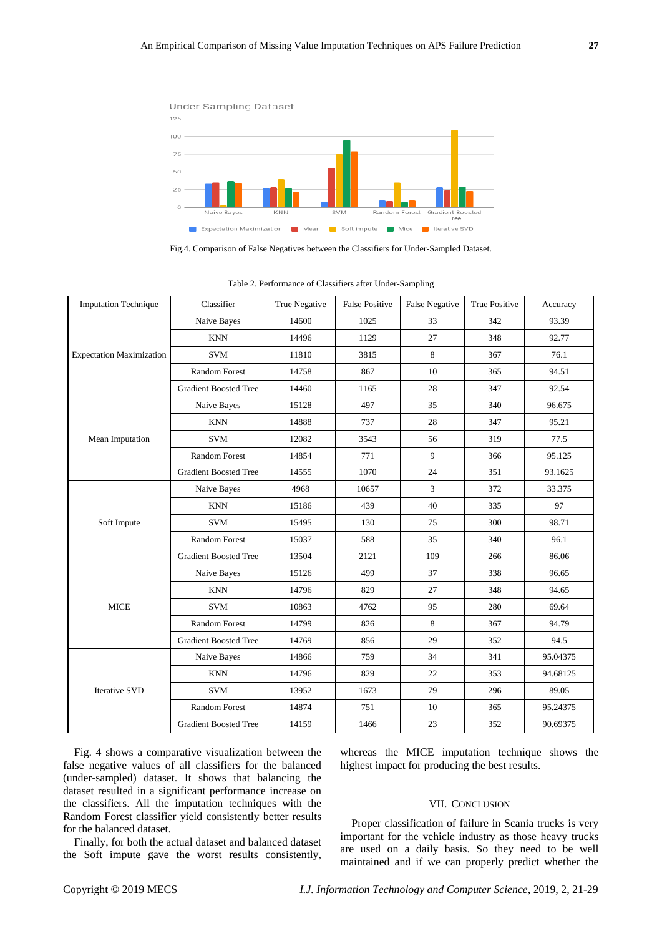

| Fig. 4 shows a comparative visualization between the       |  |  |  |  |  |
|------------------------------------------------------------|--|--|--|--|--|
| false negative values of all classifiers for the balanced  |  |  |  |  |  |
| (under-sampled) dataset. It shows that balancing the       |  |  |  |  |  |
| dataset resulted in a significant performance increase on  |  |  |  |  |  |
| the classifiers. All the imputation techniques with the    |  |  |  |  |  |
| Random Forest classifier yield consistently better results |  |  |  |  |  |
| for the balanced dataset.                                  |  |  |  |  |  |

Finally, for both the actual dataset and balanced dataset the Soft impute gave the worst results consistently, whereas the MICE imputation technique shows the highest impact for producing the best results.

### VII. CONCLUSION

Proper classification of failure in Scania trucks is very important for the vehicle industry as those heavy trucks are used on a daily basis. So they need to be well maintained and if we can properly predict whether the

| Copyright © 2019 MECS |  |
|-----------------------|--|
|                       |  |

Table 2. Performance of Classifiers after Under-Sampling

Fig.4. Comparison of False Negatives between the Classifiers for Under-Sampled Dataset.

| <b>Imputation Technique</b>     | Classifier                   | True Negative | <b>False Positive</b> | False Negative | True Positive | Accuracy |
|---------------------------------|------------------------------|---------------|-----------------------|----------------|---------------|----------|
| <b>Expectation Maximization</b> | Naive Bayes                  | 14600         | 1025                  | 33             | 342           | 93.39    |
|                                 | <b>KNN</b>                   | 14496         | 1129                  | 27             | 348           | 92.77    |
|                                 | <b>SVM</b>                   | 11810         | 3815                  | 8              | 367           | 76.1     |
|                                 | <b>Random Forest</b>         | 14758         | 867                   | 10             | 365           | 94.51    |
|                                 | <b>Gradient Boosted Tree</b> | 14460         | 1165                  | 28             | 347           | 92.54    |
| Mean Imputation                 | Naive Bayes                  | 15128         | 497                   | 35             | 340           | 96.675   |
|                                 | <b>KNN</b>                   | 14888         | 737                   | 28             | 347           | 95.21    |
|                                 | <b>SVM</b>                   | 12082         | 3543                  | 56             | 319           | 77.5     |
|                                 | <b>Random Forest</b>         | 14854         | 771                   | 9              | 366           | 95.125   |
|                                 | <b>Gradient Boosted Tree</b> | 14555         | 1070                  | 24             | 351           | 93.1625  |
| Soft Impute                     | Naive Bayes                  | 4968          | 10657                 | 3              | 372           | 33.375   |
|                                 | <b>KNN</b>                   | 15186         | 439                   | 40             | 335           | 97       |
|                                 | <b>SVM</b>                   | 15495         | 130                   | 75             | 300           | 98.71    |
|                                 | <b>Random Forest</b>         | 15037         | 588                   | 35             | 340           | 96.1     |
|                                 | <b>Gradient Boosted Tree</b> | 13504         | 2121                  | 109            | 266           | 86.06    |
| <b>MICE</b>                     | Naive Bayes                  | 15126         | 499                   | 37             | 338           | 96.65    |
|                                 | <b>KNN</b>                   | 14796         | 829                   | 27             | 348           | 94.65    |
|                                 | <b>SVM</b>                   | 10863         | 4762                  | 95             | 280           | 69.64    |
|                                 | <b>Random Forest</b>         | 14799         | 826                   | 8              | 367           | 94.79    |
|                                 | <b>Gradient Boosted Tree</b> | 14769         | 856                   | 29             | 352           | 94.5     |
| <b>Iterative SVD</b>            | Naive Bayes                  | 14866         | 759                   | 34             | 341           | 95.04375 |
|                                 | <b>KNN</b>                   | 14796         | 829                   | 22             | 353           | 94.68125 |
|                                 | <b>SVM</b>                   | 13952         | 1673                  | 79             | 296           | 89.05    |
|                                 | <b>Random Forest</b>         | 14874         | 751                   | 10             | 365           | 95.24375 |
|                                 | <b>Gradient Boosted Tree</b> | 14159         | 1466                  | 23             | 352           | 90.69375 |
|                                 |                              |               |                       |                |               |          |

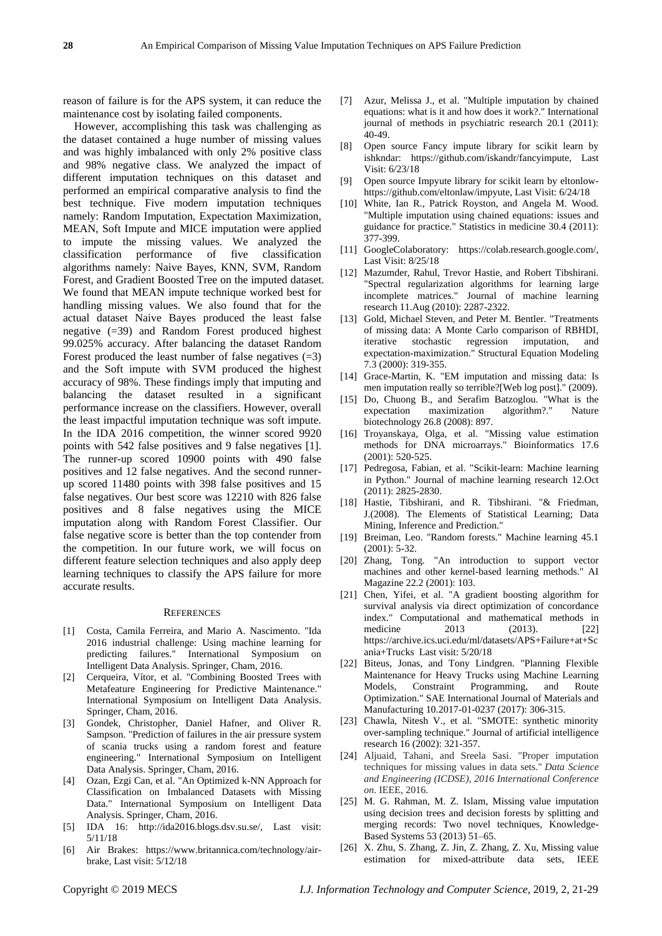reason of failure is for the APS system, it can reduce the maintenance cost by isolating failed components.

However, accomplishing this task was challenging as the dataset contained a huge number of missing values and was highly imbalanced with only 2% positive class and 98% negative class. We analyzed the impact of different imputation techniques on this dataset and performed an empirical comparative analysis to find the best technique. Five modern imputation techniques namely: Random Imputation, Expectation Maximization, MEAN, Soft Impute and MICE imputation were applied to impute the missing values. We analyzed the classification performance of five classification algorithms namely: Naive Bayes, KNN, SVM, Random Forest, and Gradient Boosted Tree on the imputed dataset. We found that MEAN impute technique worked best for handling missing values. We also found that for the actual dataset Naive Bayes produced the least false negative (=39) and Random Forest produced highest 99.025% accuracy. After balancing the dataset Random Forest produced the least number of false negatives  $(=3)$ and the Soft impute with SVM produced the highest accuracy of 98%. These findings imply that imputing and balancing the dataset resulted in a significant performance increase on the classifiers. However, overall the least impactful imputation technique was soft impute. In the IDA 2016 competition, the winner scored 9920 points with 542 false positives and 9 false negatives [1]. The runner-up scored 10900 points with 490 false positives and 12 false negatives. And the second runnerup scored 11480 points with 398 false positives and 15 false negatives. Our best score was 12210 with 826 false positives and 8 false negatives using the MICE imputation along with Random Forest Classifier. Our false negative score is better than the top contender from the competition. In our future work, we will focus on different feature selection techniques and also apply deep learning techniques to classify the APS failure for more accurate results.

#### **REFERENCES**

- [1] Costa, Camila Ferreira, and Mario A. Nascimento. "Ida 2016 industrial challenge: Using machine learning for predicting failures." International Symposium on Intelligent Data Analysis. Springer, Cham, 2016.
- [2] Cerqueira, V for, et al. "Combining Boosted Trees with Metafeature Engineering for Predictive Maintenance." International Symposium on Intelligent Data Analysis. Springer, Cham, 2016.
- [3] Gondek, Christopher, Daniel Hafner, and Oliver R. Sampson. "Prediction of failures in the air pressure system of scania trucks using a random forest and feature engineering." International Symposium on Intelligent Data Analysis. Springer, Cham, 2016.
- [4] Ozan, Ezgi Can, et al. "An Optimized k-NN Approach for Classification on Imbalanced Datasets with Missing Data." International Symposium on Intelligent Data Analysis. Springer, Cham, 2016.
- [5] IDA 16: http://ida2016.blogs.dsv.su.se/, Last visit: 5/11/18
- [6] Air Brakes: https://www.britannica.com/technology/airbrake, Last visit: 5/12/18
- [7] Azur, Melissa J., et al. "Multiple imputation by chained equations: what is it and how does it work?." International journal of methods in psychiatric research 20.1 (2011): 40-49.
- [8] Open source Fancy impute library for scikit learn by ishkndar: https://github.com/iskandr/fancyimpute, Last Visit: 6/23/18
- [9] Open source Impyute library for scikit learn by eltonlowhttps://github.com/eltonlaw/impyute, Last Visit: 6/24/18
- [10] White, Ian R., Patrick Royston, and Angela M. Wood. "Multiple imputation using chained equations: issues and guidance for practice." Statistics in medicine 30.4 (2011): 377-399.
- [11] GoogleColaboratory: https://colab.research.google.com/, Last Visit: 8/25/18
- [12] Mazumder, Rahul, Trevor Hastie, and Robert Tibshirani. "Spectral regularization algorithms for learning large incomplete matrices." Journal of machine learning research 11.Aug (2010): 2287-2322.
- [13] Gold, Michael Steven, and Peter M. Bentler. "Treatments of missing data: A Monte Carlo comparison of RBHDI, iterative stochastic regression imputation, and expectation-maximization." Structural Equation Modeling 7.3 (2000): 319-355.
- [14] Grace-Martin, K. "EM imputation and missing data: Is men imputation really so terrible?[Web log post]." (2009).
- [15] Do, Chuong B., and Serafim Batzoglou. "What is the expectation maximization algorithm?." Nature biotechnology 26.8 (2008): 897.
- [16] Troyanskaya, Olga, et al. "Missing value estimation methods for DNA microarrays." Bioinformatics 17.6 (2001): 520-525.
- [17] Pedregosa, Fabian, et al. "Scikit-learn: Machine learning in Python." Journal of machine learning research 12.Oct (2011): 2825-2830.
- [18] Hastie, Tibshirani, and R. Tibshirani. "& Friedman, J.(2008). The Elements of Statistical Learning; Data Mining, Inference and Prediction."
- [19] Breiman, Leo. "Random forests." Machine learning 45.1 (2001): 5-32.
- [20] Zhang, Tong. "An introduction to support vector machines and other kernel-based learning methods." AI Magazine 22.2 (2001): 103.
- [21] Chen, Yifei, et al. "A gradient boosting algorithm for survival analysis via direct optimization of concordance index." Computational and mathematical methods in medicine 2013 (2013). [22] https://archive.ics.uci.edu/ml/datasets/APS+Failure+at+Sc ania+Trucks Last visit: 5/20/18
- [22] Biteus, Jonas, and Tony Lindgren. "Planning Flexible Maintenance for Heavy Trucks using Machine Learning Models, Constraint Programming, and Route Optimization." SAE International Journal of Materials and Manufacturing 10.2017-01-0237 (2017): 306-315.
- [23] Chawla, Nitesh V., et al. "SMOTE: synthetic minority over-sampling technique." Journal of artificial intelligence research 16 (2002): 321-357.
- [24] Aljuaid, Tahani, and Sreela Sasi. "Proper imputation techniques for missing values in data sets." *Data Science and Engineering (ICDSE), 2016 International Conference on*. IEEE, 2016.
- [25] M. G. Rahman, M. Z. Islam, Missing value imputation using decision trees and decision forests by splitting and merging records: Two novel techniques, Knowledge-Based Systems 53 (2013) 51–65.
- [26] X. Zhu, S. Zhang, Z. Jin, Z. Zhang, Z. Xu, Missing value estimation for mixed-attribute data sets, IEEE